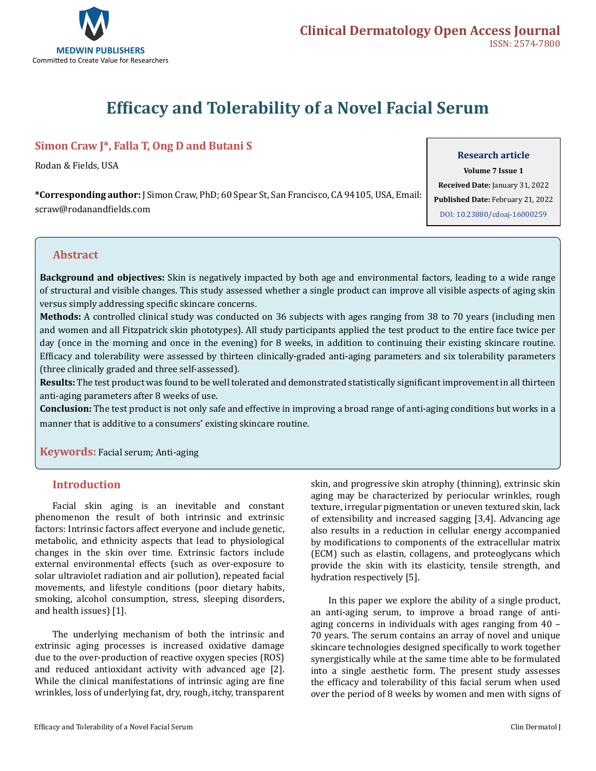

# **Efficacy and Tolerability of a Novel Facial Serum**

# **Simon Craw J\*, Falla T, Ong D and Butani S**

Rodan & Fields, USA

**\*Corresponding author:** J Simon Craw, PhD; 60 Spear St, San Francisco, CA 94105, USA, Email: scraw@rodanandfields.com

#### **Research article**

**Volume 7 Issue 1 Received Date:** January 31, 2022 **Published Date:** February 21, 2022 [DOI: 10.23880/cdoaj-16000259](https://doi.org/10.23880/cdoaj-16000259)

## **Abstract**

**Background and objectives:** Skin is negatively impacted by both age and environmental factors, leading to a wide range of structural and visible changes. This study assessed whether a single product can improve all visible aspects of aging skin versus simply addressing specific skincare concerns.

**Methods:** A controlled clinical study was conducted on 36 subjects with ages ranging from 38 to 70 years (including men and women and all Fitzpatrick skin phototypes). All study participants applied the test product to the entire face twice per day (once in the morning and once in the evening) for 8 weeks, in addition to continuing their existing skincare routine. Efficacy and tolerability were assessed by thirteen clinically-graded anti-aging parameters and six tolerability parameters (three clinically graded and three self-assessed).

**Results:** The test product was found to be well tolerated and demonstrated statistically significant improvement in all thirteen anti-aging parameters after 8 weeks of use.

**Conclusion:** The test product is not only safe and effective in improving a broad range of anti-aging conditions but works in a manner that is additive to a consumers' existing skincare routine.

**Keywords:** Facial serum; Anti-aging

## **Introduction**

Facial skin aging is an inevitable and constant phenomenon the result of both intrinsic and extrinsic factors: Intrinsic factors affect everyone and include genetic, metabolic, and ethnicity aspects that lead to physiological changes in the skin over time. Extrinsic factors include external environmental effects (such as over-exposure to solar ultraviolet radiation and air pollution), repeated facial movements, and lifestyle conditions (poor dietary habits, smoking, alcohol consumption, stress, sleeping disorders, and health issues) [1].

The underlying mechanism of both the intrinsic and extrinsic aging processes is increased oxidative damage due to the over-production of reactive oxygen species (ROS) and reduced antioxidant activity with advanced age [2]. While the clinical manifestations of intrinsic aging are fine wrinkles, loss of underlying fat, dry, rough, itchy, transparent skin, and progressive skin atrophy (thinning), extrinsic skin aging may be characterized by periocular wrinkles, rough texture, irregular pigmentation or uneven textured skin, lack of extensibility and increased sagging [3,4]. Advancing age also results in a reduction in cellular energy accompanied by modifications to components of the extracellular matrix (ECM) such as elastin, collagens, and proteoglycans which provide the skin with its elasticity, tensile strength, and hydration respectively [5].

In this paper we explore the ability of a single product, an anti-aging serum, to improve a broad range of antiaging concerns in individuals with ages ranging from 40 – 70 years. The serum contains an array of novel and unique skincare technologies designed specifically to work together synergistically while at the same time able to be formulated into a single aesthetic form. The present study assesses the efficacy and tolerability of this facial serum when used over the period of 8 weeks by women and men with signs of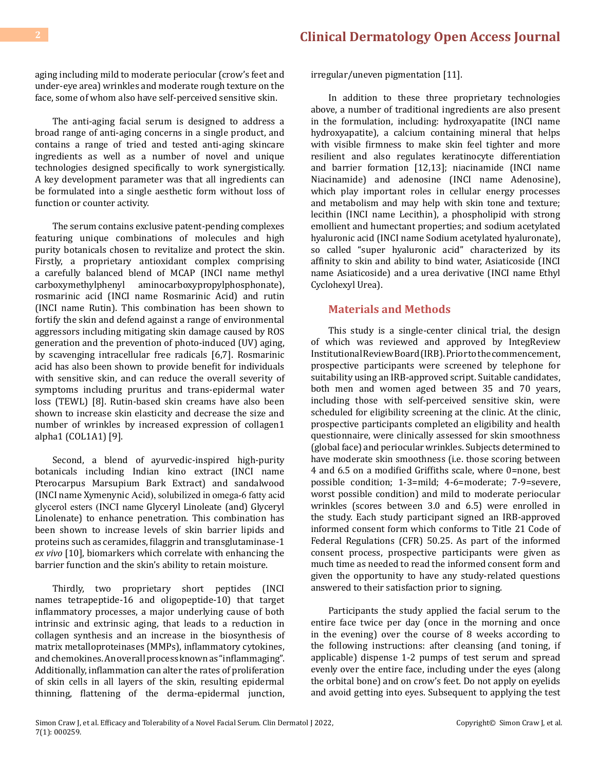aging including mild to moderate periocular (crow's feet and under-eye area) wrinkles and moderate rough texture on the face, some of whom also have self-perceived sensitive skin.

The anti-aging facial serum is designed to address a broad range of anti-aging concerns in a single product, and contains a range of tried and tested anti-aging skincare ingredients as well as a number of novel and unique technologies designed specifically to work synergistically. A key development parameter was that all ingredients can be formulated into a single aesthetic form without loss of function or counter activity.

The serum contains exclusive patent-pending complexes featuring unique combinations of molecules and high purity botanicals chosen to revitalize and protect the skin. Firstly, a proprietary antioxidant complex comprising a carefully balanced blend of MCAP (INCI name methyl carboxymethylphenyl aminocarboxypropylphosphonate), aminocarboxypropylphosphonate), rosmarinic acid (INCI name Rosmarinic Acid) and rutin (INCI name Rutin). This combination has been shown to fortify the skin and defend against a range of environmental aggressors including mitigating skin damage caused by ROS generation and the prevention of photo-induced (UV) aging, by scavenging intracellular free radicals [6,7]. Rosmarinic acid has also been shown to provide benefit for individuals with sensitive skin, and can reduce the overall severity of symptoms including pruritus and trans-epidermal water loss (TEWL) [8]. Rutin-based skin creams have also been shown to increase skin elasticity and decrease the size and number of wrinkles by increased expression of collagen1 alpha1 (COL1A1) [9].

Second, a blend of ayurvedic-inspired high-purity botanicals including Indian kino extract (INCI name Pterocarpus Marsupium Bark Extract) and sandalwood (INCI name Xymenynic Acid), solubilized in omega-6 fatty acid glycerol esters (INCI name Glyceryl Linoleate (and) Glyceryl Linolenate) to enhance penetration. This combination has been shown to increase levels of skin barrier lipids and proteins such as ceramides, filaggrin and transglutaminase-1 *ex vivo* [10], biomarkers which correlate with enhancing the barrier function and the skin's ability to retain moisture.

Thirdly, two proprietary short peptides (INCI names tetrapeptide-16 and oligopeptide-10) that target inflammatory processes, a major underlying cause of both intrinsic and extrinsic aging, that leads to a reduction in collagen synthesis and an increase in the biosynthesis of matrix metalloproteinases (MMPs), inflammatory cytokines, and chemokines. An overall process known as "inflammaging". Additionally, inflammation can alter the rates of proliferation of skin cells in all layers of the skin, resulting epidermal thinning, flattening of the derma-epidermal junction, irregular/uneven pigmentation [11].

In addition to these three proprietary technologies above, a number of traditional ingredients are also present in the formulation, including: hydroxyapatite (INCI name hydroxyapatite), a calcium containing mineral that helps with visible firmness to make skin feel tighter and more resilient and also regulates keratinocyte differentiation and barrier formation [12,13]; niacinamide (INCI name Niacinamide) and adenosine (INCI name Adenosine), which play important roles in cellular energy processes and metabolism and may help with skin tone and texture; lecithin (INCI name Lecithin), a phospholipid with strong emollient and humectant properties; and sodium acetylated hyaluronic acid (INCI name Sodium acetylated hyaluronate), so called "super hyaluronic acid" characterized by its affinity to skin and ability to bind water, Asiaticoside (INCI name Asiaticoside) and a urea derivative (INCI name Ethyl Cyclohexyl Urea).

## **Materials and Methods**

This study is a single-center clinical trial, the design of which was reviewed and approved by IntegReview Institutional Review Board (IRB). Prior to the commencement, prospective participants were screened by telephone for suitability using an IRB-approved script. Suitable candidates, both men and women aged between 35 and 70 years, including those with self-perceived sensitive skin, were scheduled for eligibility screening at the clinic. At the clinic, prospective participants completed an eligibility and health questionnaire, were clinically assessed for skin smoothness (global face) and periocular wrinkles. Subjects determined to have moderate skin smoothness (i.e. those scoring between 4 and 6.5 on a modified Griffiths scale, where 0=none, best possible condition; 1-3=mild; 4-6=moderate; 7-9=severe, worst possible condition) and mild to moderate periocular wrinkles (scores between 3.0 and 6.5) were enrolled in the study. Each study participant signed an IRB-approved informed consent form which conforms to Title 21 Code of Federal Regulations (CFR) 50.25. As part of the informed consent process, prospective participants were given as much time as needed to read the informed consent form and given the opportunity to have any study-related questions answered to their satisfaction prior to signing.

Participants the study applied the facial serum to the entire face twice per day (once in the morning and once in the evening) over the course of 8 weeks according to the following instructions: after cleansing (and toning, if applicable) dispense 1-2 pumps of test serum and spread evenly over the entire face, including under the eyes (along the orbital bone) and on crow's feet. Do not apply on eyelids and avoid getting into eyes. Subsequent to applying the test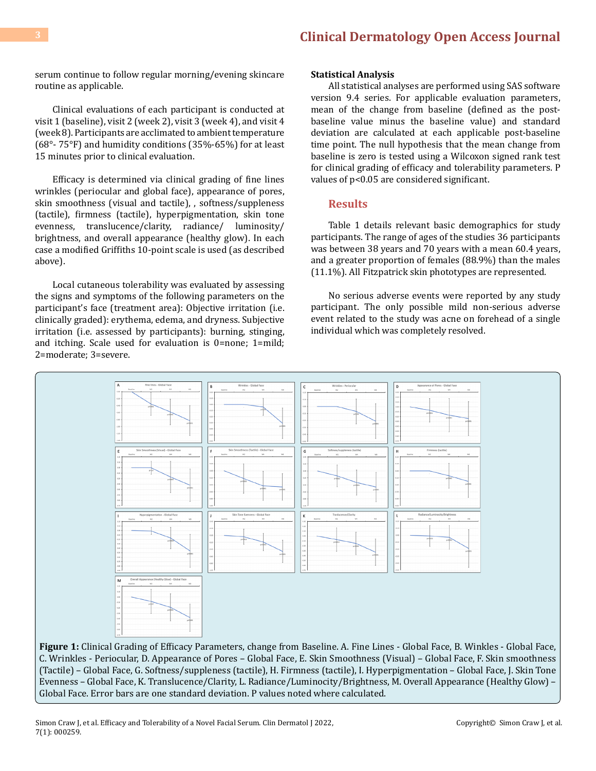serum continue to follow regular morning/evening skincare routine as applicable.

Clinical evaluations of each participant is conducted at visit 1 (baseline), visit 2 (week 2), visit 3 (week 4), and visit 4 (week 8). Participants are acclimated to ambient temperature (68°- 75°F) and humidity conditions (35%-65%) for at least 15 minutes prior to clinical evaluation.

Efficacy is determined via clinical grading of fine lines wrinkles (periocular and global face), appearance of pores, skin smoothness (visual and tactile), , softness/suppleness (tactile), firmness (tactile), hyperpigmentation, skin tone evenness, translucence/clarity, radiance/ luminosity/ brightness, and overall appearance (healthy glow). In each case a modified Griffiths 10-point scale is used (as described above).

Local cutaneous tolerability was evaluated by assessing the signs and symptoms of the following parameters on the participant's face (treatment area): Objective irritation (i.e. clinically graded): erythema, edema, and dryness. Subjective irritation (i.e. assessed by participants): burning, stinging, and itching. Scale used for evaluation is 0=none; 1=mild; 2=moderate; 3=severe.

#### **Statistical Analysis**

All statistical analyses are performed using SAS software version 9.4 series. For applicable evaluation parameters, mean of the change from baseline (defined as the postbaseline value minus the baseline value) and standard deviation are calculated at each applicable post-baseline time point. The null hypothesis that the mean change from baseline is zero is tested using a Wilcoxon signed rank test for clinical grading of efficacy and tolerability parameters. P values of p<0.05 are considered significant.

#### **Results**

Table 1 details relevant basic demographics for study participants. The range of ages of the studies 36 participants was between 38 years and 70 years with a mean 60.4 years, and a greater proportion of females (88.9%) than the males (11.1%). All Fitzpatrick skin phototypes are represented.

No serious adverse events were reported by any study participant. The only possible mild non-serious adverse event related to the study was acne on forehead of a single individual which was completely resolved.



C. Wrinkles - Periocular, D. Appearance of Pores – Global Face, E. Skin Smoothness (Visual) – Global Face, F. Skin smoothness (Tactile) – Global Face, G. Softness/suppleness (tactile), H. Firmness (tactile), I. Hyperpigmentation – Global Face, J. Skin Tone Evenness – Global Face, K. Translucence/Clarity, L. Radiance/Luminocity/Brightness, M. Overall Appearance (Healthy Glow) – Global Face. Error bars are one standard deviation. P values noted where calculated.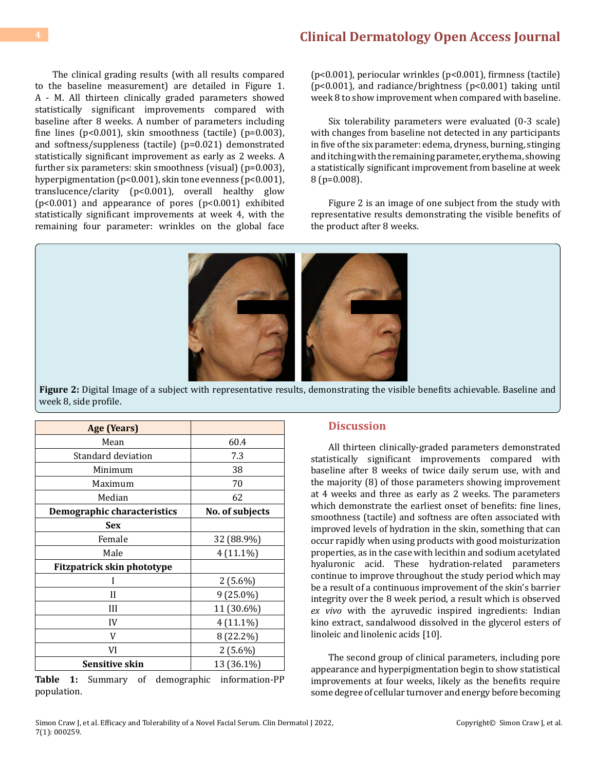The clinical grading results (with all results compared to the baseline measurement) are detailed in Figure 1. A - M. All thirteen clinically graded parameters showed statistically significant improvements compared with baseline after 8 weeks. A number of parameters including fine lines ( $p<0.001$ ), skin smoothness (tactile) ( $p=0.003$ ), and softness/suppleness (tactile) (p=0.021) demonstrated statistically significant improvement as early as 2 weeks. A further six parameters: skin smoothness (visual) (p=0.003), hyperpigmentation (p<0.001), skin tone evenness (p<0.001), translucence/clarity (p<0.001), overall healthy glow (p<0.001) and appearance of pores (p<0.001) exhibited statistically significant improvements at week 4, with the remaining four parameter: wrinkles on the global face

(p<0.001), periocular wrinkles (p<0.001), firmness (tactile) (p<0.001), and radiance/brightness (p<0.001) taking until week 8 to show improvement when compared with baseline.

Six tolerability parameters were evaluated (0-3 scale) with changes from baseline not detected in any participants in five of the six parameter: edema, dryness, burning, stinging and itching with the remaining parameter, erythema, showing a statistically significant improvement from baseline at week 8 (p=0.008).

Figure 2 is an image of one subject from the study with representative results demonstrating the visible benefits of the product after 8 weeks.



**Figure 2:** Digital Image of a subject with representative results, demonstrating the visible benefits achievable. Baseline and week 8, side profile.

| <b>Age (Years)</b>          |                 |
|-----------------------------|-----------------|
| Mean                        | 60.4            |
| Standard deviation          | 7.3             |
| Minimum                     | 38              |
| Maximum                     | 70              |
| Median                      | 62              |
| Demographic characteristics | No. of subjects |
| <b>Sex</b>                  |                 |
| Female                      | 32 (88.9%)      |
| Male                        | $4(11.1\%)$     |
| Fitzpatrick skin phototype  |                 |
|                             | $2(5.6\%)$      |
| Н                           | $9(25.0\%)$     |
| Ш                           | 11 (30.6%)      |
| IV                          | $4(11.1\%)$     |
| V                           | 8 (22.2%)       |
| VI                          | $2(5.6\%)$      |
| <b>Sensitive skin</b>       | 13 (36.1%)      |

**Table 1:** Summary of demographic information-PP population.

#### **Discussion**

All thirteen clinically-graded parameters demonstrated statistically significant improvements compared with baseline after 8 weeks of twice daily serum use, with and the majority (8) of those parameters showing improvement at 4 weeks and three as early as 2 weeks. The parameters which demonstrate the earliest onset of benefits: fine lines, smoothness (tactile) and softness are often associated with improved levels of hydration in the skin, something that can occur rapidly when using products with good moisturization properties, as in the case with lecithin and sodium acetylated hyaluronic acid. These hydration-related parameters continue to improve throughout the study period which may be a result of a continuous improvement of the skin's barrier integrity over the 8 week period, a result which is observed *ex vivo* with the ayruvedic inspired ingredients: Indian kino extract, sandalwood dissolved in the glycerol esters of linoleic and linolenic acids [10].

The second group of clinical parameters, including pore appearance and hyperpigmentation begin to show statistical improvements at four weeks, likely as the benefits require some degree of cellular turnover and energy before becoming